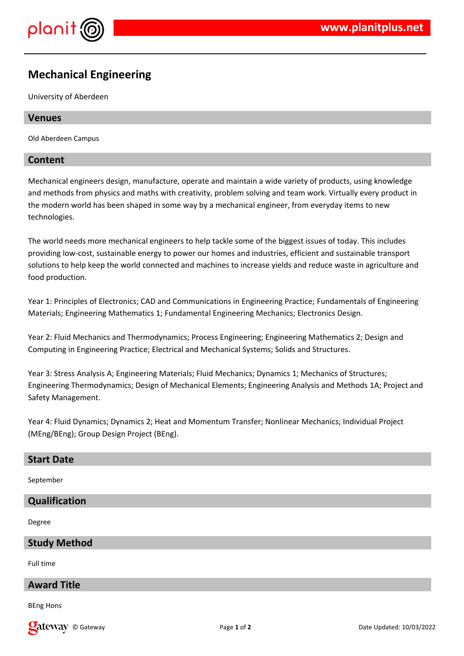

# **Mechanical Engineering**

University of Aberdeen

## **Venues**

Old Aberdeen Campus

## **Content**

Mechanical engineers design, manufacture, operate and maintain a wide variety of products, using knowledge and methods from physics and maths with creativity, problem solving and team work. Virtually every product in the modern world has been shaped in some way by a mechanical engineer, from everyday items to new technologies.

The world needs more mechanical engineers to help tackle some of the biggest issues of today. This includes providing low-cost, sustainable energy to power our homes and industries, efficient and sustainable transport solutions to help keep the world connected and machines to increase yields and reduce waste in agriculture and food production.

Year 1: Principles of Electronics; CAD and Communications in Engineering Practice; Fundamentals of Engineering Materials; Engineering Mathematics 1; Fundamental Engineering Mechanics; Electronics Design.

Year 2: Fluid Mechanics and Thermodynamics; Process Engineering; Engineering Mathematics 2; Design and Computing in Engineering Practice; Electrical and Mechanical Systems; Solids and Structures.

Year 3: Stress Analysis A; Engineering Materials; Fluid Mechanics; Dynamics 1; Mechanics of Structures; Engineering Thermodynamics; Design of Mechanical Elements; Engineering Analysis and Methods 1A; Project and Safety Management.

Year 4: Fluid Dynamics; Dynamics 2; Heat and Momentum Transfer; Nonlinear Mechanics; Individual Project (MEng/BEng); Group Design Project (BEng).

#### **Start Date**

September

#### **Qualification**

Degree

#### **Study Method**

Full time

## **Award Title**

BEng Hons